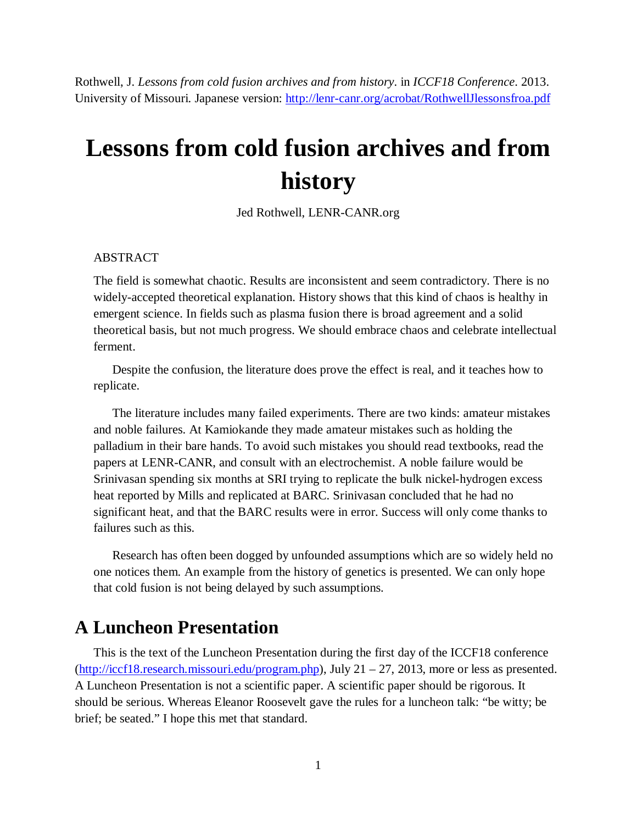Rothwell, J. *Lessons from cold fusion archives and from history*. in *ICCF18 Conference*. 2013. University of Missouri. Japanese version: <http://lenr-canr.org/acrobat/RothwellJlessonsfroa.pdf>

# **Lessons from cold fusion archives and from history**

Jed Rothwell, LENR-CANR.org

#### ABSTRACT

The field is somewhat chaotic. Results are inconsistent and seem contradictory. There is no widely-accepted theoretical explanation. History shows that this kind of chaos is healthy in emergent science. In fields such as plasma fusion there is broad agreement and a solid theoretical basis, but not much progress. We should embrace chaos and celebrate intellectual ferment.

Despite the confusion, the literature does prove the effect is real, and it teaches how to replicate.

The literature includes many failed experiments. There are two kinds: amateur mistakes and noble failures. At Kamiokande they made amateur mistakes such as holding the palladium in their bare hands. To avoid such mistakes you should read textbooks, read the papers at LENR-CANR, and consult with an electrochemist. A noble failure would be Srinivasan spending six months at SRI trying to replicate the bulk nickel-hydrogen excess heat reported by Mills and replicated at BARC. Srinivasan concluded that he had no significant heat, and that the BARC results were in error. Success will only come thanks to failures such as this.

Research has often been dogged by unfounded assumptions which are so widely held no one notices them. An example from the history of genetics is presented. We can only hope that cold fusion is not being delayed by such assumptions.

### **A Luncheon Presentation**

This is the text of the Luncheon Presentation during the first day of the ICCF18 conference ([http://iccf18.research.missouri.edu/program.php\)](http://iccf18.research.missouri.edu/program.php), July 21 – 27, 2013, more or less as presented. A Luncheon Presentation is not a scientific paper. A scientific paper should be rigorous. It should be serious. Whereas Eleanor Roosevelt gave the rules for a luncheon talk: "be witty; be brief; be seated." I hope this met that standard.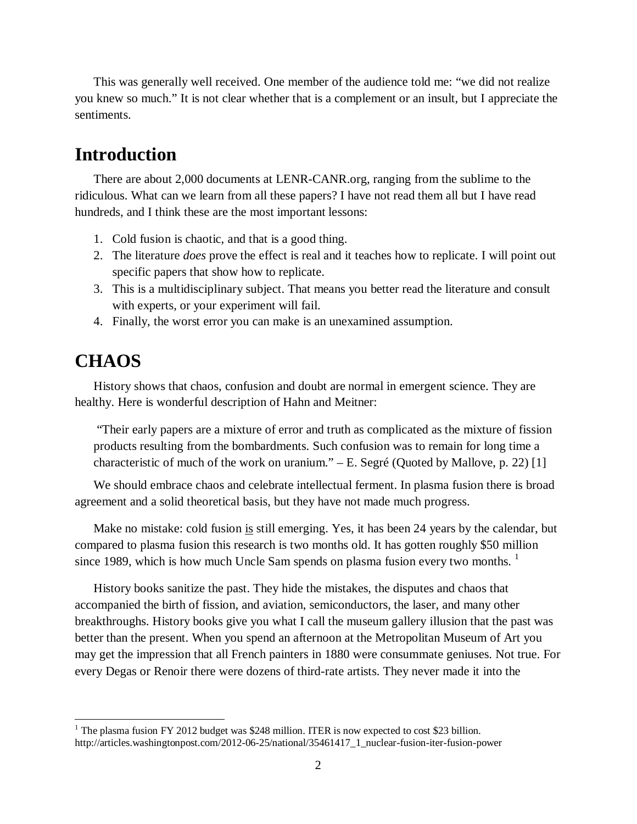This was generally well received. One member of the audience told me: "we did not realize you knew so much." It is not clear whether that is a complement or an insult, but I appreciate the sentiments.

## **Introduction**

There are about 2,000 documents at LENR-CANR.org, ranging from the sublime to the ridiculous. What can we learn from all these papers? I have not read them all but I have read hundreds, and I think these are the most important lessons:

- 1. Cold fusion is chaotic, and that is a good thing.
- 2. The literature *does* prove the effect is real and it teaches how to replicate. I will point out specific papers that show how to replicate.
- 3. This is a multidisciplinary subject. That means you better read the literature and consult with experts, or your experiment will fail.
- 4. Finally, the worst error you can make is an unexamined assumption.

## **CHAOS**

History shows that chaos, confusion and doubt are normal in emergent science. They are healthy. Here is wonderful description of Hahn and Meitner:

"Their early papers are a mixture of error and truth as complicated as the mixture of fission products resulting from the bombardments. Such confusion was to remain for long time a characteristicof much of the work on uranium."  $-E$ . Segré (Quoted by Mallove, p. 22) [\[1](#page-13-0)]

We should embrace chaos and celebrate intellectual ferment. In plasma fusion there is broad agreement and a solid theoretical basis, but they have not made much progress.

Make no mistake: cold fusion is still emerging. Yes, it has been 24 years by the calendar, but compared to plasma fusion this research is two months old. It has gotten roughly \$50 million since [1](#page-1-0)989, which is how much Uncle Sam spends on plasma fusion every two months.  $\frac{1}{1}$ 

History books sanitize the past. They hide the mistakes, the disputes and chaos that accompanied the birth of fission, and aviation, semiconductors, the laser, and many other breakthroughs. History books give you what I call the museum gallery illusion that the past was better than the present. When you spend an afternoon at the Metropolitan Museum of Art you may get the impression that all French painters in 1880 were consummate geniuses. Not true. For every Degas or Renoir there were dozens of third-rate artists. They never made it into the

<span id="page-1-0"></span> $1$  The plasma fusion FY 2012 budget was \$248 million. ITER is now expected to cost \$23 billion. http://articles.washingtonpost.com/2012-06-25/national/35461417\_1\_nuclear-fusion-iter-fusion-power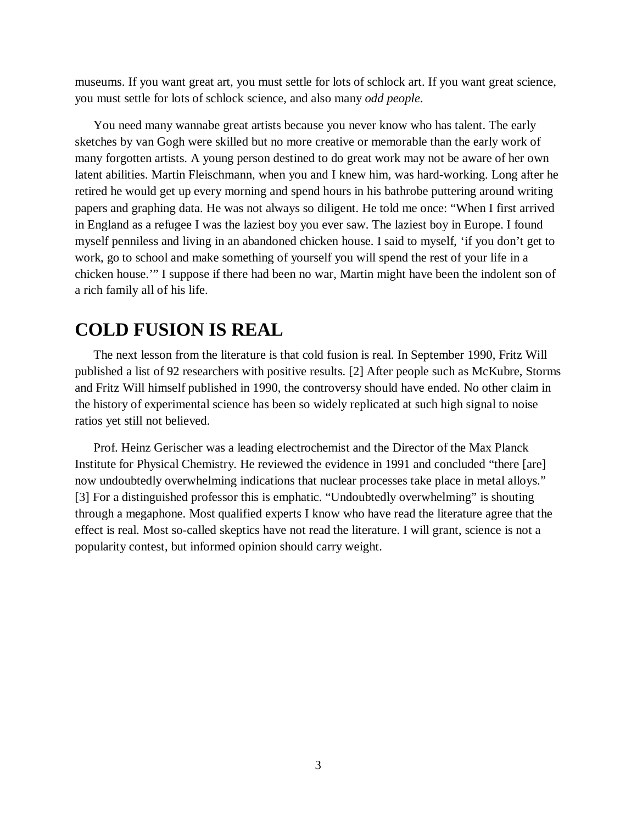museums. If you want great art, you must settle for lots of schlock art. If you want great science, you must settle for lots of schlock science, and also many *odd people*.

You need many wannabe great artists because you never know who has talent. The early sketches by van Gogh were skilled but no more creative or memorable than the early work of many forgotten artists. A young person destined to do great work may not be aware of her own latent abilities. Martin Fleischmann, when you and I knew him, was hard-working. Long after he retired he would get up every morning and spend hours in his bathrobe puttering around writing papers and graphing data. He was not always so diligent. He told me once: "When I first arrived in England as a refugee I was the laziest boy you ever saw. The laziest boy in Europe. I found myself penniless and living in an abandoned chicken house. I said to myself, 'if you don't get to work, go to school and make something of yourself you will spend the rest of your life in a chicken house.'" I suppose if there had been no war, Martin might have been the indolent son of a rich family all of his life.

### **COLD FUSION IS REAL**

The next lesson from the literature is that cold fusion is real. In September 1990, Fritz Will published a list of 92 researchers with positive results.[[2\]](#page-13-1) After people such as McKubre, Storms and Fritz Will himself published in 1990, the controversy should have ended. No other claim in the history of experimental science has been so widely replicated at such high signal to noise ratios yet still not believed.

Prof. Heinz Gerischer was a leading electrochemist and the Director of the Max Planck Institute for Physical Chemistry. He reviewed the evidence in 1991 and concluded "there [are] now undoubtedly overwhelming indications that nuclear processes take place in metal alloys." [[3](#page-13-2)] For a distinguished professor this is emphatic. "Undoubtedly overwhelming" is shouting through a megaphone. Most qualified experts I know who have read the literature agree that the effect is real. Most so-called skeptics have not read the literature. I will grant, science is not a popularity contest, but informed opinion should carry weight.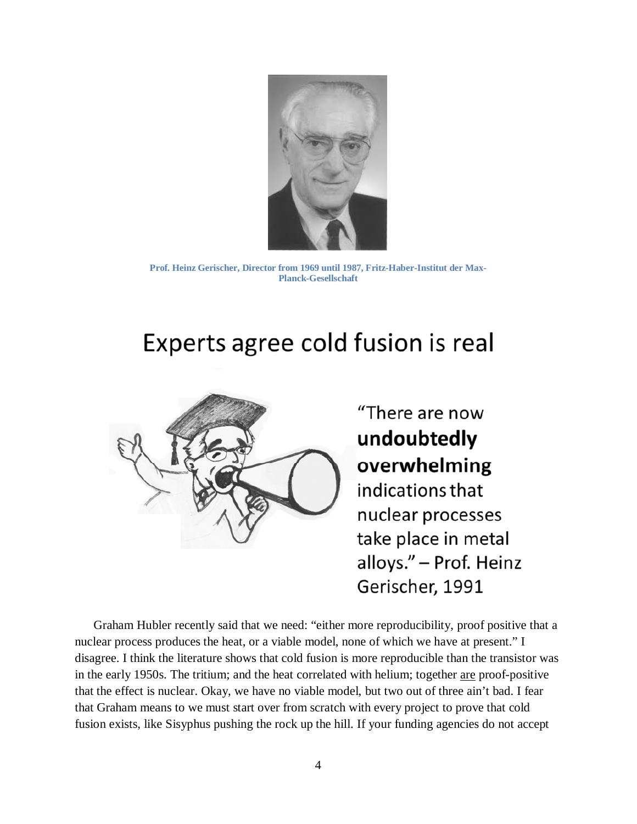

**Prof. Heinz Gerischer, Director from 1969 until 1987, Fritz-Haber-Institut der Max-Planck-Gesellschaft**

# Experts agree cold fusion is real



"There are now undoubtedly overwhelming indications that nuclear processes take place in metal alloys." - Prof. Heinz Gerischer, 1991

Graham Hubler recently said that we need: "either more reproducibility, proof positive that a nuclear process produces the heat, or a viable model, none of which we have at present." I disagree. I think the literature shows that cold fusion is more reproducible than the transistor was in the early 1950s. The tritium; and the heat correlated with helium; together are proof-positive that the effect is nuclear. Okay, we have no viable model, but two out of three ain't bad. I fear that Graham means to we must start over from scratch with every project to prove that cold fusion exists, like Sisyphus pushing the rock up the hill. If your funding agencies do not accept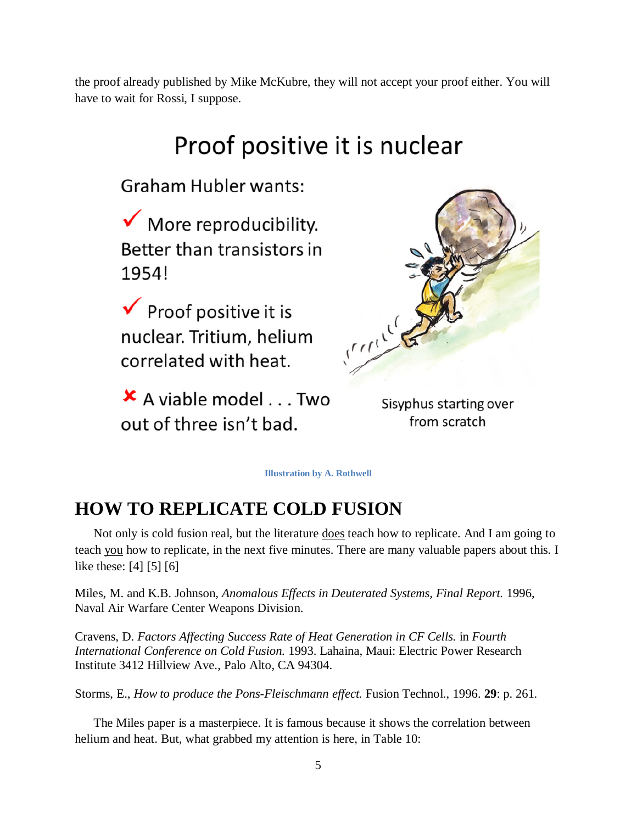the proof already published by Mike McKubre, they will not accept your proof either. You will have to wait for Rossi, I suppose.

# Proof positive it is nuclear

**Graham Hubler wants:** 

 $\checkmark$  More reproducibility. Better than transistors in 1954!

 $\checkmark$  Proof positive it is nuclear. Tritium, helium correlated with heat.

× A viable model . . . Two out of three isn't bad.



Sisyphus starting over from scratch

**Illustration by A. Rothwell**

## **HOW TO REPLICATE COLD FUSION**

Not only is cold fusion real, but the literature does teach how to replicate. And I am going to teach you how to replicate, in the next five minutes. There are many valuable papers about this. I like these:[[4\]](#page-13-3) [\[5](#page-13-4)] [\[6](#page-13-5)]

Miles, M. and K.B. Johnson, *Anomalous Effects in Deuterated Systems, Final Report.* 1996, Naval Air Warfare Center Weapons Division.

Cravens, D. *Factors Affecting Success Rate of Heat Generation in CF Cells.* in *Fourth International Conference on Cold Fusion.* 1993. Lahaina, Maui: Electric Power Research Institute 3412 Hillview Ave., Palo Alto, CA 94304.

Storms, E., *How to produce the Pons-Fleischmann effect.* Fusion Technol., 1996. **29**: p. 261.

The Miles paper is a masterpiece. It is famous because it shows the correlation between helium and heat. But, what grabbed my attention is here, in Table 10: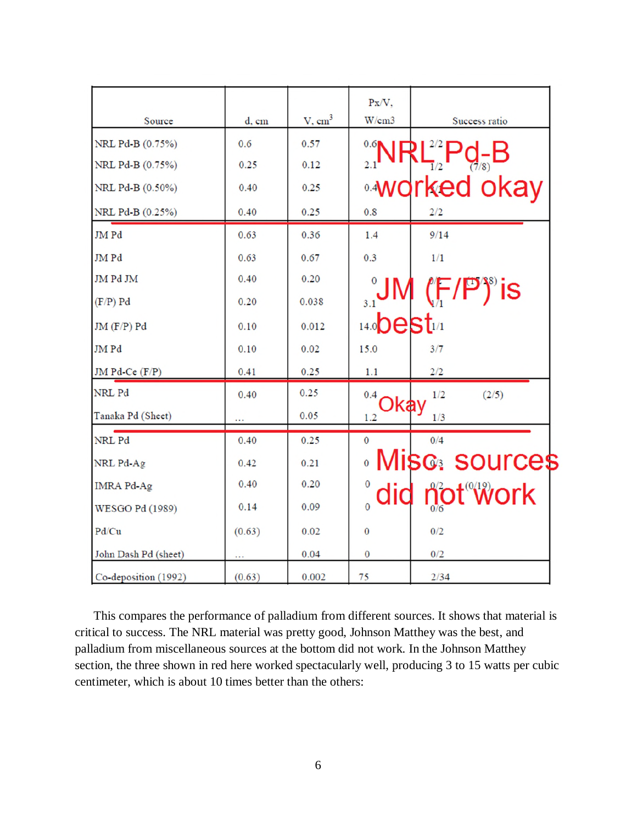|                        |        |                    | Px/V.                    |                        |
|------------------------|--------|--------------------|--------------------------|------------------------|
| Source                 | d, cm  | V, cm <sup>3</sup> | W/cm3                    | Success ratio          |
| NRL Pd-B (0.75%)       | 0.6    | 0.57               | $0.6$ NR                 |                        |
| NRL Pd-B (0.75%)       | 0.25   | 0.12               | 2.1                      |                        |
| NRL Pd-B (0.50%)       | 0.40   | 0.25               |                          | ∘worked okay           |
| NRL Pd-B (0.25%)       | 0.40   | 0.25               | 0.8                      | 2/2                    |
| JM Pd                  | 0.63   | 0.36               | 1.4                      | 9/14                   |
| JM Pd                  | 0.63   | 0.67               | 0.3                      | 1/1                    |
| JM Pd JM               | 0.40   | 0.20               |                          |                        |
| $(F/P)$ Pd             | 0.20   | 0.038              | 3.1                      | $(F/P)^s$ is           |
| $JM(F/P)$ $Pd$         | 0.10   | 0.012              | $14.0$ <b>DeSt</b> $1/1$ |                        |
| JM Pd                  | 0.10   | 0.02               | 15.0                     | 3/7                    |
| JM Pd-Ce $(F/P)$       | 0.41   | 0.25               | 1.1                      | 2/2                    |
| NRL Pd                 | 0.40   | 0.25               | 0.4                      | 1/2<br>(2/5)           |
| Tanaka Pd (Sheet)      |        | 0.05               | Okay<br>1.2              | 1/3                    |
| NRL Pd                 | 0.40   | 0.25               | $\mathbf{0}$             | 0/4                    |
| NRL Pd-Ag              | 0.42   | 0.21               |                          | <b>Misc. sources</b>   |
| <b>IMRA Pd-Ag</b>      | 0.40   | 0.20               | 0                        |                        |
| <b>WESGO Pd (1989)</b> | 0.14   | 0.09               | did<br>$\overline{0}$    | not <sup>on</sup> work |
| Pd/Cu                  | (0.63) | 0.02               | $\mathbf{0}$             | 0/2                    |
| John Dash Pd (sheet)   |        | 0.04               | 0                        | 0/2                    |
| Co-deposition (1992)   | (0.63) | 0.002              | 75                       | 2/34                   |

This compares the performance of palladium from different sources. It shows that material is critical to success. The NRL material was pretty good, Johnson Matthey was the best, and palladium from miscellaneous sources at the bottom did not work. In the Johnson Matthey section, the three shown in red here worked spectacularly well, producing 3 to 15 watts per cubic centimeter, which is about 10 times better than the others: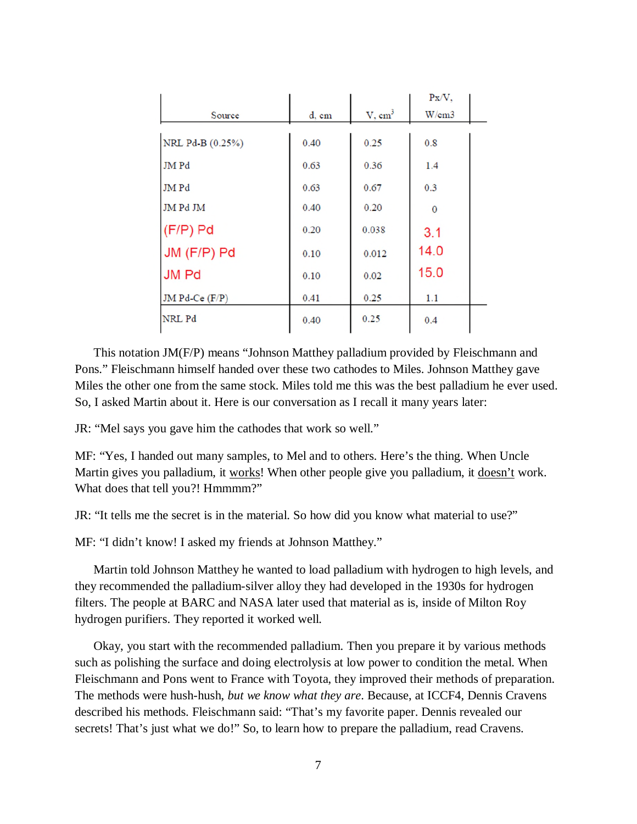|                  |       |                    | $Px/V$ , |  |
|------------------|-------|--------------------|----------|--|
| Source           | d, cm | V, cm <sup>3</sup> | W/cm3    |  |
| NRL Pd-B (0.25%) | 0.40  | 0.25               | 0.8      |  |
|                  |       |                    |          |  |
| <b>JMPd</b>      | 0.63  | 0.36               | 1.4      |  |
| JM Pd            | 0.63  | 0.67               | 0.3      |  |
| <b>JM Pd JM</b>  | 0.40  | 0.20               | $\Omega$ |  |
| $(F/P)$ Pd       | 0.20  | 0.038              | 3.1      |  |
| JM (F/P) Pd      | 0.10  | 0.012              | 14.0     |  |
| <b>JM Pd</b>     | 0.10  | 0.02               | 15.0     |  |
| JM Pd-Ce (F/P)   | 0.41  | 0.25               | 1.1      |  |
| NRL Pd           | 0.40  | 0.25               | 0.4      |  |

This notation JM(F/P) means "Johnson Matthey palladium provided by Fleischmann and Pons." Fleischmann himself handed over these two cathodes to Miles. Johnson Matthey gave Miles the other one from the same stock. Miles told me this was the best palladium he ever used. So, I asked Martin about it. Here is our conversation as I recall it many years later:

JR: "Mel says you gave him the cathodes that work so well."

MF: "Yes, I handed out many samples, to Mel and to others. Here's the thing. When Uncle Martin gives you palladium, it works! When other people give you palladium, it doesn't work. What does that tell you?! Hmmmm?"

JR: "It tells me the secret is in the material. So how did you know what material to use?"

MF: "I didn't know! I asked my friends at Johnson Matthey."

Martin told Johnson Matthey he wanted to load palladium with hydrogen to high levels, and they recommended the palladium-silver alloy they had developed in the 1930s for hydrogen filters. The people at BARC and NASA later used that material as is, inside of Milton Roy hydrogen purifiers. They reported it worked well.

Okay, you start with the recommended palladium. Then you prepare it by various methods such as polishing the surface and doing electrolysis at low power to condition the metal. When Fleischmann and Pons went to France with Toyota, they improved their methods of preparation. The methods were hush-hush, *but we know what they are*. Because, at ICCF4, Dennis Cravens described his methods. Fleischmann said: "That's my favorite paper. Dennis revealed our secrets! That's just what we do!" So, to learn how to prepare the palladium, read Cravens.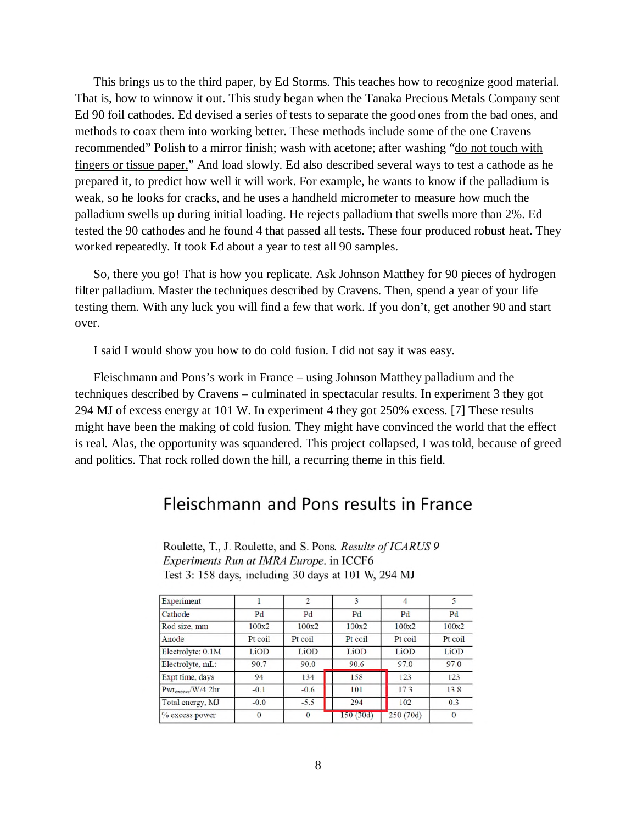This brings us to the third paper, by Ed Storms. This teaches how to recognize good material. That is, how to winnow it out. This study began when the Tanaka Precious Metals Company sent Ed 90 foil cathodes. Ed devised a series of tests to separate the good ones from the bad ones, and methods to coax them into working better. These methods include some of the one Cravens recommended" Polish to a mirror finish; wash with acetone; after washing "do not touch with fingers or tissue paper," And load slowly. Ed also described several ways to test a cathode as he prepared it, to predict how well it will work. For example, he wants to know if the palladium is weak, so he looks for cracks, and he uses a handheld micrometer to measure how much the palladium swells up during initial loading. He rejects palladium that swells more than 2%. Ed tested the 90 cathodes and he found 4 that passed all tests. These four produced robust heat. They worked repeatedly. It took Ed about a year to test all 90 samples.

So, there you go! That is how you replicate. Ask Johnson Matthey for 90 pieces of hydrogen filter palladium. Master the techniques described by Cravens. Then, spend a year of your life testing them. With any luck you will find a few that work. If you don't, get another 90 and start over.

I said I would show you how to do cold fusion. I did not say it was easy.

Fleischmann and Pons's work in France – using Johnson Matthey palladium and the techniques described by Cravens – culminated in spectacular results. In experiment 3 they got 294 MJ of excess energy at 101 W. In experiment 4 they got 250% excess.[[7\]](#page-13-6) These results might have been the making of cold fusion. They might have convinced the world that the effect is real. Alas, the opportunity was squandered. This project collapsed, I was told, because of greed and politics. That rock rolled down the hill, a recurring theme in this field.

### Fleischmann and Pons results in France

| Experiment                     |              | o        |          | 4         | 5        |
|--------------------------------|--------------|----------|----------|-----------|----------|
| Cathode                        | Pd           | Pd       | Pd       | Pd        | Pd       |
| Rod size, mm                   | 100x2        | 100x2    | 100x2    | 100x2     | 100x2    |
| Anode                          | Pt coil      | Pt coil  | Pt coil  | Pt coil   | Pt coil  |
| Electrolyte: 0.1M              | LiOD         | LiOD     | LiOD     | LiOD      | LiOD     |
| Electrolyte, mL:               | 90.7         | 90.0     | 90.6     | 97.0      | 97.0     |
| Expt time, days                | 94           | 134      | 158      | 123       | 123      |
| Pwr <sub>excess</sub> /W/4.2hr | $-0.1$       | $-0.6$   | 101      | 17.3      | 13.8     |
| Total energy, MJ               | $-0.0$       | $-5.5$   | 294      | 102       | 0.3      |
| % excess power                 | $\mathbf{0}$ | $\Omega$ | 150(30d) | 250 (70d) | $\Omega$ |

Roulette, T., J. Roulette, and S. Pons. Results of ICARUS 9 Experiments Run at IMRA Europe. in ICCF6 Test 3: 158 days, including 30 days at 101 W, 294 MJ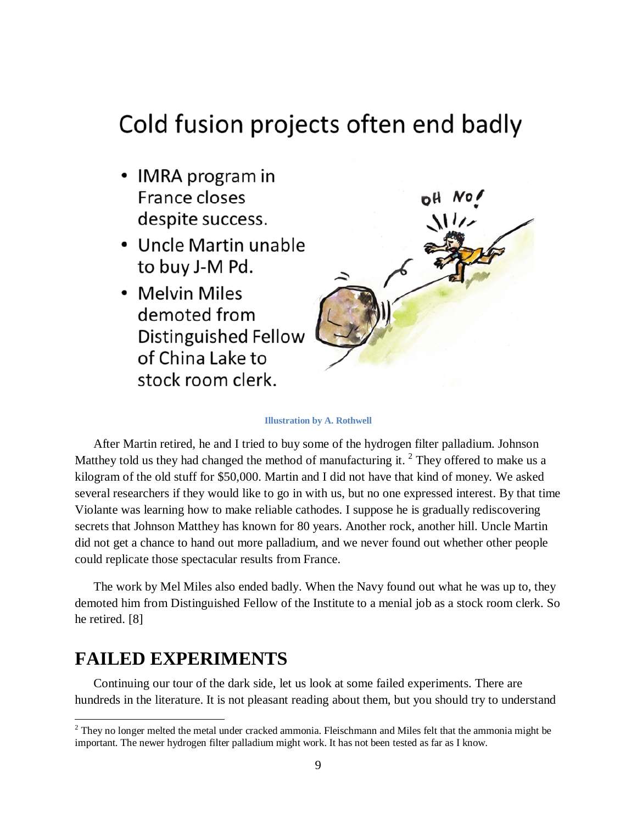# Cold fusion projects often end badly

- IMRA program in France closes despite success.
- Uncle Martin unable to buy J-M Pd.
- Melvin Miles demoted from Distinguished Fellow of China Lake to stock room clerk.



#### **Illustration by A. Rothwell**

After Martin retired, he and I tried to buy some of the hydrogen filter palladium. Johnson Matthey told us they had changed the method of manufacturing it.  $2$  They offered to make us a kilogram of the old stuff for \$50,000. Martin and I did not have that kind of money. We asked several researchers if they would like to go in with us, but no one expressed interest. By that time Violante was learning how to make reliable cathodes. I suppose he is gradually rediscovering secrets that Johnson Matthey has known for 80 years. Another rock, another hill. Uncle Martin did not get a chance to hand out more palladium, and we never found out whether other people could replicate those spectacular results from France.

The work by Mel Miles also ended badly. When the Navy found out what he was up to, they demoted him from Distinguished Fellow of the Institute to a menial job as a stock room clerk. So he retired.[[8\]](#page-13-7)

### **FAILED EXPERIMENTS**

Continuing our tour of the dark side, let us look at some failed experiments. There are hundreds in the literature. It is not pleasant reading about them, but you should try to understand

<span id="page-8-0"></span><sup>&</sup>lt;sup>2</sup> They no longer melted the metal under cracked ammonia. Fleischmann and Miles felt that the ammonia might be important. The newer hydrogen filter palladium might work. It has not been tested as far as I know.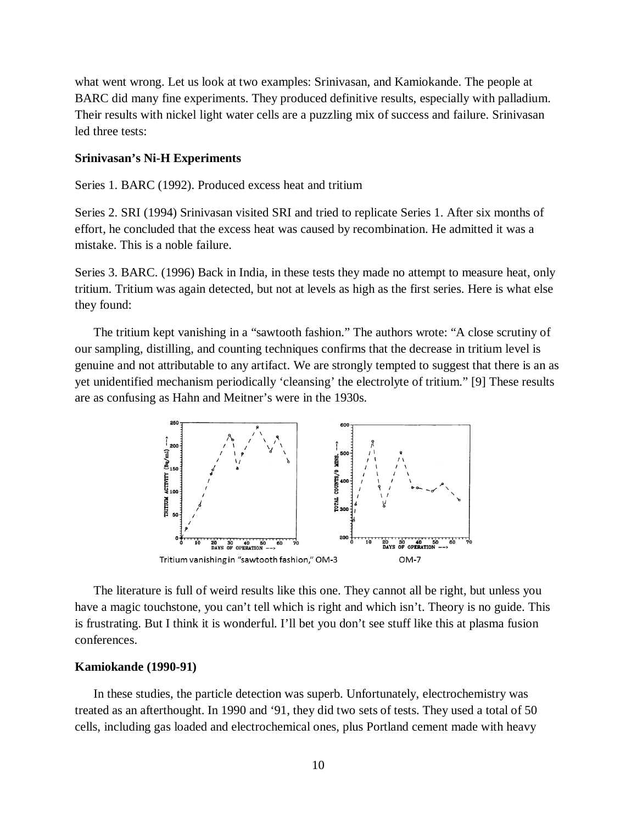what went wrong. Let us look at two examples: Srinivasan, and Kamiokande. The people at BARC did many fine experiments. They produced definitive results, especially with palladium. Their results with nickel light water cells are a puzzling mix of success and failure. Srinivasan led three tests:

#### **Srinivasan's Ni-H Experiments**

Series 1. BARC (1992). Produced excess heat and tritium

Series 2. SRI (1994) Srinivasan visited SRI and tried to replicate Series 1. After six months of effort, he concluded that the excess heat was caused by recombination. He admitted it was a mistake. This is a noble failure.

Series 3. BARC. (1996) Back in India, in these tests they made no attempt to measure heat, only tritium. Tritium was again detected, but not at levels as high as the first series. Here is what else they found:

The tritium kept vanishing in a "sawtooth fashion." The authors wrote: "A close scrutiny of our sampling, distilling, and counting techniques confirms that the decrease in tritium level is genuine and not attributable to any artifact. We are strongly tempted to suggest that there is an as yet unidentified mechanism periodically 'cleansing' the electrolyte of tritium." [\[9](#page-13-8)] These results are as confusing as Hahn and Meitner's were in the 1930s.



The literature is full of weird results like this one. They cannot all be right, but unless you have a magic touchstone, you can't tell which is right and which isn't. Theory is no guide. This is frustrating. But I think it is wonderful. I'll bet you don't see stuff like this at plasma fusion conferences.

#### **Kamiokande (1990-91)**

In these studies, the particle detection was superb. Unfortunately, electrochemistry was treated as an afterthought. In 1990 and '91, they did two sets of tests. They used a total of 50 cells, including gas loaded and electrochemical ones, plus Portland cement made with heavy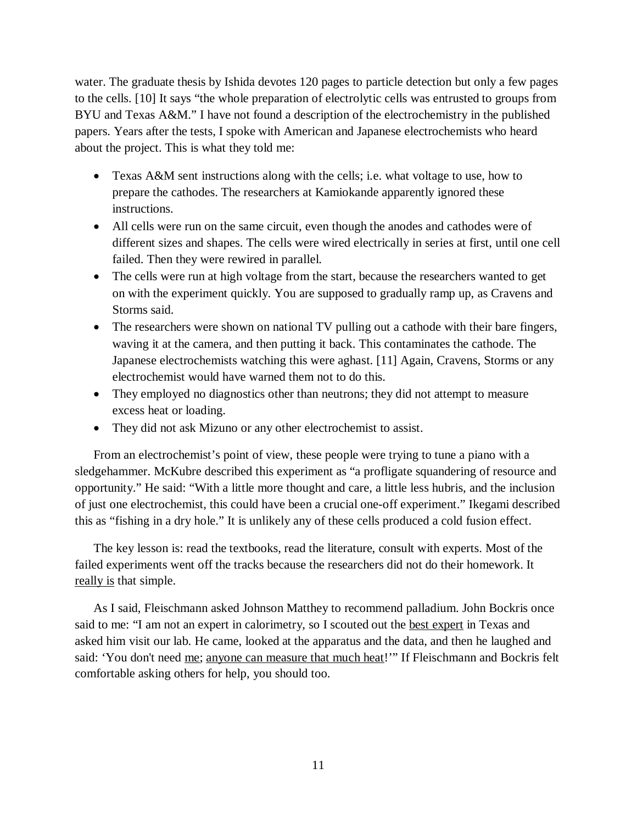water. The graduate thesis by Ishida devotes 120 pages to particle detection but only a few pages to the cells.[[10\]](#page-13-9) It says "the whole preparation of electrolytic cells was entrusted to groups from BYU and Texas A&M." I have not found a description of the electrochemistry in the published papers. Years after the tests, I spoke with American and Japanese electrochemists who heard about the project. This is what they told me:

- Texas A&M sent instructions along with the cells; i.e. what voltage to use, how to prepare the cathodes. The researchers at Kamiokande apparently ignored these instructions.
- All cells were run on the same circuit, even though the anodes and cathodes were of different sizes and shapes. The cells were wired electrically in series at first, until one cell failed. Then they were rewired in parallel.
- The cells were run at high voltage from the start, because the researchers wanted to get on with the experiment quickly. You are supposed to gradually ramp up, as Cravens and Storms said.
- The researchers were shown on national TV pulling out a cathode with their bare fingers, waving it at the camera, and then putting it back. This contaminates the cathode. The Japanese electrochemists watching this were aghast.[[11\]](#page-13-10) Again, Cravens, Storms or any electrochemist would have warned them not to do this.
- They employed no diagnostics other than neutrons; they did not attempt to measure excess heat or loading.
- They did not ask Mizuno or any other electrochemist to assist.

From an electrochemist's point of view, these people were trying to tune a piano with a sledgehammer. McKubre described this experiment as "a profligate squandering of resource and opportunity." He said: "With a little more thought and care, a little less hubris, and the inclusion of just one electrochemist, this could have been a crucial one-off experiment." Ikegami described this as "fishing in a dry hole." It is unlikely any of these cells produced a cold fusion effect.

The key lesson is: read the textbooks, read the literature, consult with experts. Most of the failed experiments went off the tracks because the researchers did not do their homework. It really is that simple.

As I said, Fleischmann asked Johnson Matthey to recommend palladium. John Bockris once said to me: "I am not an expert in calorimetry, so I scouted out the best expert in Texas and asked him visit our lab. He came, looked at the apparatus and the data, and then he laughed and said: 'You don't need <u>me; anyone can measure that much heat</u>!'" If Fleischmann and Bockris felt comfortable asking others for help, you should too.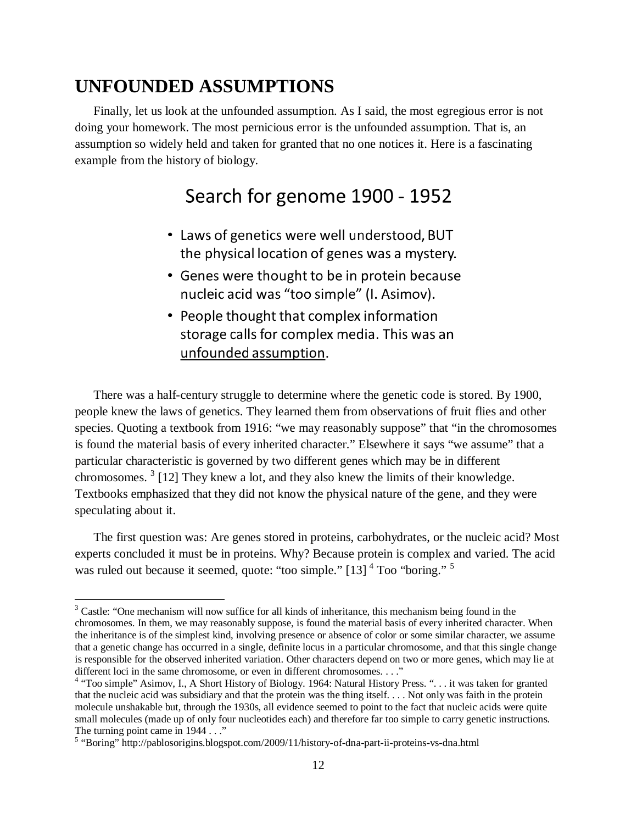## **UNFOUNDED ASSUMPTIONS**

Finally, let us look at the unfounded assumption. As I said, the most egregious error is not doing your homework. The most pernicious error is the unfounded assumption. That is, an assumption so widely held and taken for granted that no one notices it. Here is a fascinating example from the history of biology.

## Search for genome 1900 - 1952

- Laws of genetics were well understood, BUT the physical location of genes was a mystery.
- Genes were thought to be in protein because nucleic acid was "too simple" (I. Asimov).
- People thought that complex information storage calls for complex media. This was an unfounded assumption.

There was a half-century struggle to determine where the genetic code is stored. By 1900, people knew the laws of genetics. They learned them from observations of fruit flies and other species. Quoting a textbook from 1916: "we may reasonably suppose" that "in the chromosomes is found the material basis of every inherited character." Elsewhere it says "we assume" that a particular characteristic is governed by two different genes which may be in different chromosomes.  $3$  [[12\]](#page-13-11) They knew a lot, and they also knew the limits of their knowledge. Textbooks emphasized that they did not know the physical nature of the gene, and they were speculating about it.

The first question was: Are genes stored in proteins, carbohydrates, or the nucleic acid? Most experts concluded it must be in proteins. Why? Because protein is complex and varied. The acid was ruled out because it seemed, quote: "too simple."  $[13]$ <sup>[4](#page-11-1)</sup> Too "boring."<sup>[5](#page-11-2)</sup>

<span id="page-11-0"></span><sup>&</sup>lt;sup>3</sup> Castle: "One mechanism will now suffice for all kinds of inheritance, this mechanism being found in the chromosomes. In them, we may reasonably suppose, is found the material basis of every inherited character. When the inheritance is of the simplest kind, involving presence or absence of color or some similar character, we assume that a genetic change has occurred in a single, definite locus in a particular chromosome, and that this single change is responsible for the observed inherited variation. Other characters depend on two or more genes, which may lie at different loci in the same chromosome, or even in different chromosomes. . . ."

<span id="page-11-1"></span><sup>&</sup>lt;sup>4</sup> "Too simple" Asimov, I., A Short History of Biology. 1964: Natural History Press. "... it was taken for granted that the nucleic acid was subsidiary and that the protein was the thing itself. . . . Not only was faith in the protein molecule unshakable but, through the 1930s, all evidence seemed to point to the fact that nucleic acids were quite small molecules (made up of only four nucleotides each) and therefore far too simple to carry genetic instructions. The turning point came in 1944 . . ."

<span id="page-11-2"></span><sup>&</sup>lt;sup>5</sup> "Boring" http://pablosorigins.blogspot.com/2009/11/history-of-dna-part-ii-proteins-vs-dna.html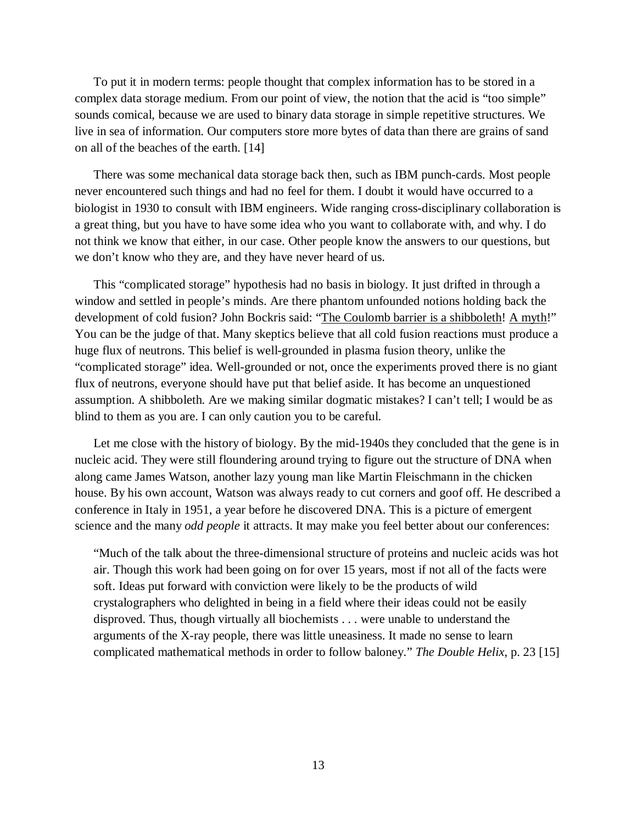To put it in modern terms: people thought that complex information has to be stored in a complex data storage medium. From our point of view, the notion that the acid is "too simple" sounds comical, because we are used to binary data storage in simple repetitive structures. We live in sea of information. Our computers store more bytes of data than there are grains of sand on all of the beaches of the earth.[[14\]](#page-13-13)

There was some mechanical data storage back then, such as IBM punch-cards. Most people never encountered such things and had no feel for them. I doubt it would have occurred to a biologist in 1930 to consult with IBM engineers. Wide ranging cross-disciplinary collaboration is a great thing, but you have to have some idea who you want to collaborate with, and why. I do not think we know that either, in our case. Other people know the answers to our questions, but we don't know who they are, and they have never heard of us.

This "complicated storage" hypothesis had no basis in biology. It just drifted in through a window and settled in people's minds. Are there phantom unfounded notions holding back the development of cold fusion? John Bockris said: "The Coulomb barrier is a shibboleth! A myth!" You can be the judge of that. Many skeptics believe that all cold fusion reactions must produce a huge flux of neutrons. This belief is well-grounded in plasma fusion theory, unlike the "complicated storage" idea. Well-grounded or not, once the experiments proved there is no giant flux of neutrons, everyone should have put that belief aside. It has become an unquestioned assumption. A shibboleth. Are we making similar dogmatic mistakes? I can't tell; I would be as blind to them as you are. I can only caution you to be careful.

Let me close with the history of biology. By the mid-1940s they concluded that the gene is in nucleic acid. They were still floundering around trying to figure out the structure of DNA when along came James Watson, another lazy young man like Martin Fleischmann in the chicken house. By his own account, Watson was always ready to cut corners and goof off. He described a conference in Italy in 1951, a year before he discovered DNA. This is a picture of emergent science and the many *odd people* it attracts. It may make you feel better about our conferences:

"Much of the talk about the three-dimensional structure of proteins and nucleic acids was hot air. Though this work had been going on for over 15 years, most if not all of the facts were soft. Ideas put forward with conviction were likely to be the products of wild crystalographers who delighted in being in a field where their ideas could not be easily disproved. Thus, though virtually all biochemists . . . were unable to understand the arguments of the X-ray people, there was little uneasiness. It made no sense to learn complicated mathematical methods in order to follow baloney." *The Double Helix*, p.23 [\[15](#page-13-14)]